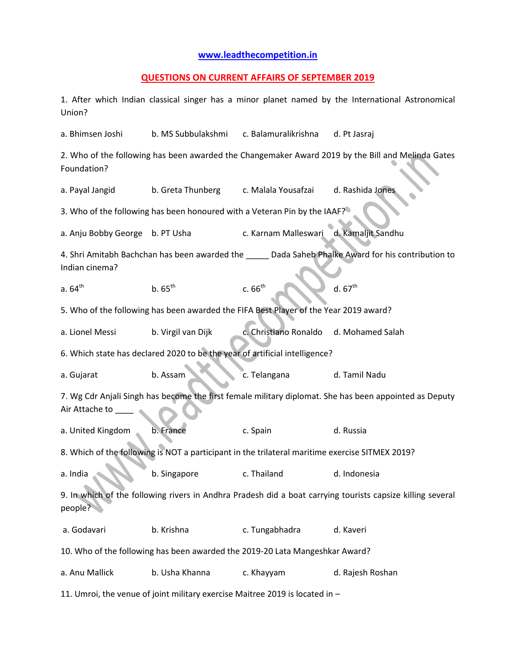## **[www.leadthecompetition.in](http://www.leadthecompetition.in/)**

## **QUESTIONS ON CURRENT AFFAIRS OF SEPTEMBER 2019**

1. After which Indian classical singer has a minor planet named by the International Astronomical Union?

a. Bhimsen Joshi b. MS Subbulakshmi c. Balamuralikrishna d. Pt Jasraj

2. Who of the following has been awarded the Changemaker Award 2019 by the Bill and Melinda Gates Foundation?

a. Payal Jangid b. Greta Thunberg c. Malala Yousafzai d. Rashida Jones

3. Who of the following has been honoured with a Veteran Pin by the IAAF?

a. Anju Bobby George b. PT Usha c. Karnam Malleswari d. Kamaljit Sandhu

4. Shri Amitabh Bachchan has been awarded the \_\_\_\_\_\_ Dada Saheb Phalke Award for his contribution to Indian cinema?

- a. 64<sup>th</sup> b. 65<sup>th</sup> c. 66<sup>th</sup> d. 67<sup>th</sup>
- 5. Who of the following has been awarded the FIFA Best Player of the Year 2019 award?
- a. Lionel Messi b. Virgil van Dijk c. Christiano Ronaldo d. Mohamed Salah

6. Which state has declared 2020 to be the year of artificial intelligence?

a. Gujarat b. Assam c. Telangana d. Tamil Nadu

7. Wg Cdr Anjali Singh has become the first female military diplomat. She has been appointed as Deputy Air Attache to

a. United Kingdom b. France c. Spain d. Russia

8. Which of the following is NOT a participant in the trilateral maritime exercise SITMEX 2019?

a. India b. Singapore c. Thailand d. Indonesia

9. In which of the following rivers in Andhra Pradesh did a boat carrying tourists capsize killing several people?

a. Godavari b. Krishna c. Tungabhadra d. Kaveri

10. Who of the following has been awarded the 2019-20 Lata Mangeshkar Award?

a. Anu Mallick b. Usha Khanna c. Khayyam d. Rajesh Roshan

11. Umroi, the venue of joint military exercise Maitree 2019 is located in –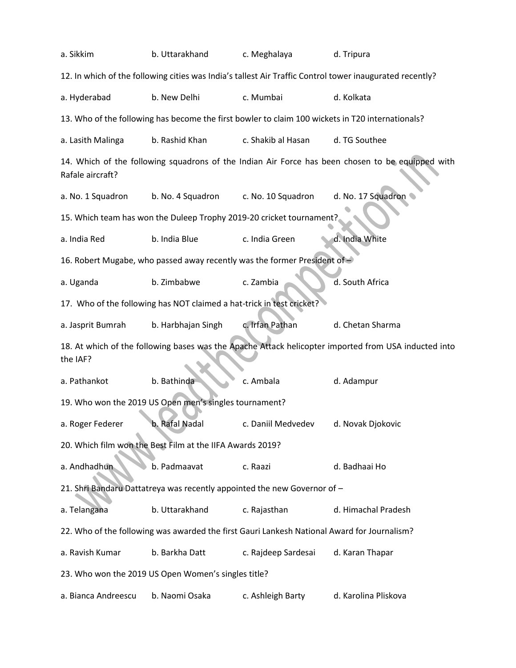| a. Sikkim                                                                                                        | b. Uttarakhand                                                                                                                                                                                                                                                                                 | c. Meghalaya        | d. Tripura           |  |  |  |  |  |  |  |
|------------------------------------------------------------------------------------------------------------------|------------------------------------------------------------------------------------------------------------------------------------------------------------------------------------------------------------------------------------------------------------------------------------------------|---------------------|----------------------|--|--|--|--|--|--|--|
|                                                                                                                  | 12. In which of the following cities was India's tallest Air Traffic Control tower inaugurated recently?                                                                                                                                                                                       |                     |                      |  |  |  |  |  |  |  |
| a. Hyderabad                                                                                                     | b. New Delhi                                                                                                                                                                                                                                                                                   | c. Mumbai           | d. Kolkata           |  |  |  |  |  |  |  |
|                                                                                                                  | 13. Who of the following has become the first bowler to claim 100 wickets in T20 internationals?                                                                                                                                                                                               |                     |                      |  |  |  |  |  |  |  |
| a. Lasith Malinga                                                                                                | b. Rashid Khan                                                                                                                                                                                                                                                                                 | c. Shakib al Hasan  | d. TG Southee        |  |  |  |  |  |  |  |
| Rafale aircraft?                                                                                                 | 14. Which of the following squadrons of the Indian Air Force has been chosen to be equipped with<br>d. No. 17 Squadron<br>b. No. 4 Squadron<br>c. No. 10 Squadron<br>15. Which team has won the Duleep Trophy 2019-20 cricket tournament?<br>d. India White<br>b. India Blue<br>c. India Green |                     |                      |  |  |  |  |  |  |  |
| a. No. 1 Squadron                                                                                                |                                                                                                                                                                                                                                                                                                |                     |                      |  |  |  |  |  |  |  |
|                                                                                                                  |                                                                                                                                                                                                                                                                                                |                     |                      |  |  |  |  |  |  |  |
| a. India Red                                                                                                     |                                                                                                                                                                                                                                                                                                |                     |                      |  |  |  |  |  |  |  |
| 16. Robert Mugabe, who passed away recently was the former President of -                                        |                                                                                                                                                                                                                                                                                                |                     |                      |  |  |  |  |  |  |  |
| a. Uganda                                                                                                        | b. Zimbabwe                                                                                                                                                                                                                                                                                    | c. Zambia           | d. South Africa      |  |  |  |  |  |  |  |
| 17. Who of the following has NOT claimed a hat-trick in test cricket?                                            |                                                                                                                                                                                                                                                                                                |                     |                      |  |  |  |  |  |  |  |
| a. Jasprit Bumrah                                                                                                | b. Harbhajan Singh                                                                                                                                                                                                                                                                             | c. Irfan Pathan     | d. Chetan Sharma     |  |  |  |  |  |  |  |
| 18. At which of the following bases was the Apache Attack helicopter imported from USA inducted into<br>the IAF? |                                                                                                                                                                                                                                                                                                |                     |                      |  |  |  |  |  |  |  |
| a. Pathankot                                                                                                     | b. Bathinda                                                                                                                                                                                                                                                                                    | c. Ambala           | d. Adampur           |  |  |  |  |  |  |  |
| 19. Who won the 2019 US Open men's singles tournament?                                                           |                                                                                                                                                                                                                                                                                                |                     |                      |  |  |  |  |  |  |  |
| a. Roger Federer                                                                                                 | b. Rafal Nadal                                                                                                                                                                                                                                                                                 | c. Daniil Medvedev  | d. Novak Djokovic    |  |  |  |  |  |  |  |
| 20. Which film won the Best Film at the IIFA Awards 2019?                                                        |                                                                                                                                                                                                                                                                                                |                     |                      |  |  |  |  |  |  |  |
| a. Andhadhun                                                                                                     | b. Padmaavat                                                                                                                                                                                                                                                                                   | c. Raazi            | d. Badhaai Ho        |  |  |  |  |  |  |  |
| 21. Shri Bandaru Dattatreya was recently appointed the new Governor of -                                         |                                                                                                                                                                                                                                                                                                |                     |                      |  |  |  |  |  |  |  |
| a. Telangana                                                                                                     | b. Uttarakhand                                                                                                                                                                                                                                                                                 | c. Rajasthan        | d. Himachal Pradesh  |  |  |  |  |  |  |  |
| 22. Who of the following was awarded the first Gauri Lankesh National Award for Journalism?                      |                                                                                                                                                                                                                                                                                                |                     |                      |  |  |  |  |  |  |  |
| a. Ravish Kumar                                                                                                  | b. Barkha Datt                                                                                                                                                                                                                                                                                 | c. Rajdeep Sardesai | d. Karan Thapar      |  |  |  |  |  |  |  |
|                                                                                                                  | 23. Who won the 2019 US Open Women's singles title?                                                                                                                                                                                                                                            |                     |                      |  |  |  |  |  |  |  |
| a. Bianca Andreescu                                                                                              | b. Naomi Osaka                                                                                                                                                                                                                                                                                 | c. Ashleigh Barty   | d. Karolina Pliskova |  |  |  |  |  |  |  |